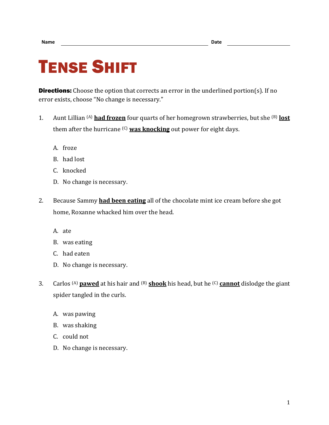## TENSE SHIFT

**Directions:** Choose the option that corrects an error in the underlined portion(s). If no error exists, choose "No change is necessary."

- 1. Aunt Lillian (A) **had frozen** four quarts of her homegrown strawberries, but she (B) **lost** them after the hurricane (C) **was knocking** out power for eight days.
	- A. froze
	- B. had lost
	- C. knocked
	- D. No change is necessary.
- 2. Because Sammy **had been eating** all of the chocolate mint ice cream before she got home, Roxanne whacked him over the head.
	- A. ate
	- B. was eating
	- C. had eaten
	- D. No change is necessary.
- 3. Carlos (A) **pawed** at his hair and (B) **shook** his head, but he (C) **cannot** dislodge the giant spider tangled in the curls.
	- A. was pawing
	- B. was shaking
	- C. could not
	- D. No change is necessary.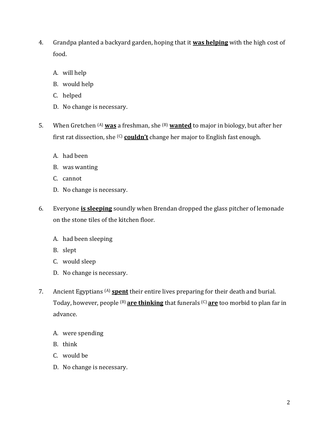- 4. Grandpa planted a backyard garden, hoping that it **was helping** with the high cost of food.
	- A. will help
	- B. would help
	- C. helped
	- D. No change is necessary.
- 5. When Gretchen (A) **was** a freshman, she (B) **wanted** to major in biology, but after her first rat dissection, she (C) **couldn't** change her major to English fast enough.
	- A. had been
	- B. was wanting
	- C. cannot
	- D. No change is necessary.
- 6. Everyone **is sleeping** soundly when Brendan dropped the glass pitcher of lemonade on the stone tiles of the kitchen floor.
	- A. had been sleeping
	- B. slept
	- C. would sleep
	- D. No change is necessary.
- 7. Ancient Egyptians (A) **spent** their entire lives preparing for their death and burial. Today, however, people (B) **are thinking** that funerals (C) **are** too morbid to plan far in advance.
	- A. were spending
	- B. think
	- C. would be
	- D. No change is necessary.